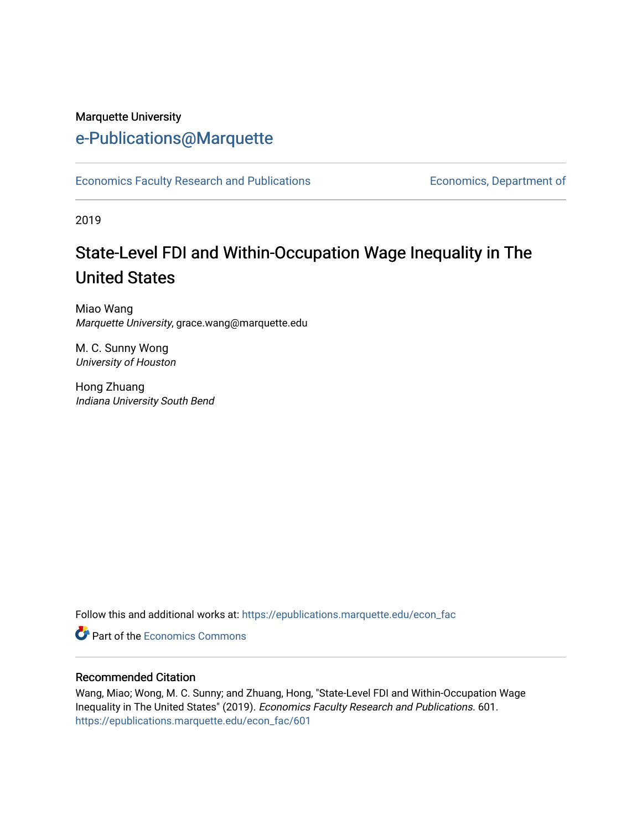#### Marquette University

## [e-Publications@Marquette](https://epublications.marquette.edu/)

[Economics Faculty Research and Publications](https://epublications.marquette.edu/econ_fac) **Economics**, Department of

2019

# State-Level FDI and Within-Occupation Wage Inequality in The United States

Miao Wang Marquette University, grace.wang@marquette.edu

M. C. Sunny Wong University of Houston

Hong Zhuang Indiana University South Bend

Follow this and additional works at: [https://epublications.marquette.edu/econ\\_fac](https://epublications.marquette.edu/econ_fac?utm_source=epublications.marquette.edu%2Fecon_fac%2F601&utm_medium=PDF&utm_campaign=PDFCoverPages) 

**C** Part of the [Economics Commons](http://network.bepress.com/hgg/discipline/340?utm_source=epublications.marquette.edu%2Fecon_fac%2F601&utm_medium=PDF&utm_campaign=PDFCoverPages)

#### Recommended Citation

Wang, Miao; Wong, M. C. Sunny; and Zhuang, Hong, "State-Level FDI and Within-Occupation Wage Inequality in The United States" (2019). Economics Faculty Research and Publications. 601. [https://epublications.marquette.edu/econ\\_fac/601](https://epublications.marquette.edu/econ_fac/601?utm_source=epublications.marquette.edu%2Fecon_fac%2F601&utm_medium=PDF&utm_campaign=PDFCoverPages)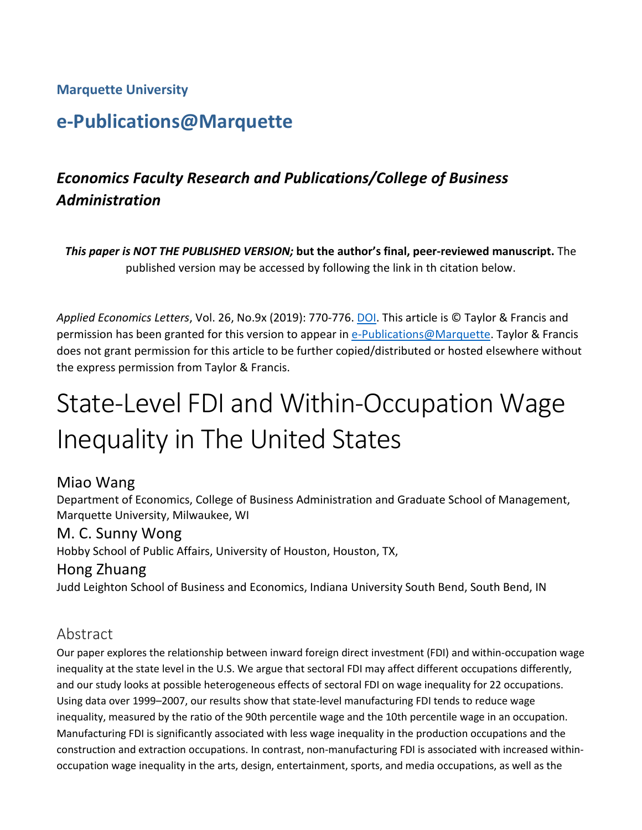#### **Marquette University**

## **e-Publications@Marquette**

## *Economics Faculty Research and Publications/College of Business Administration*

*This paper is NOT THE PUBLISHED VERSION;* **but the author's final, peer-reviewed manuscript.** The published version may be accessed by following the link in th citation below.

*Applied Economics Letters*, Vol. 26, No.9x (2019): 770-776. [DOI.](https://doi.org/10.1080/13504851.2018.1494958) This article is © Taylor & Francis and permission has been granted for this version to appear in [e-Publications@Marquette.](http://epublications.marquette.edu/) Taylor & Francis does not grant permission for this article to be further copied/distributed or hosted elsewhere without the express permission from Taylor & Francis.

# State-Level FDI and Within-Occupation Wage Inequality in The United States

#### Miao Wang

Department of Economics, College of Business Administration and Graduate School of Management, Marquette University, Milwaukee, WI

#### M. C. Sunny Wong

Hobby School of Public Affairs, University of Houston, Houston, TX,

#### Hong Zhuang

Judd Leighton School of Business and Economics, Indiana University South Bend, South Bend, IN

### Abstract

Our paper explores the relationship between inward foreign direct investment (FDI) and within-occupation wage inequality at the state level in the U.S. We argue that sectoral FDI may affect different occupations differently, and our study looks at possible heterogeneous effects of sectoral FDI on wage inequality for 22 occupations. Using data over 1999–2007, our results show that state-level manufacturing FDI tends to reduce wage inequality, measured by the ratio of the 90th percentile wage and the 10th percentile wage in an occupation. Manufacturing FDI is significantly associated with less wage inequality in the production occupations and the construction and extraction occupations. In contrast, non-manufacturing FDI is associated with increased withinoccupation wage inequality in the arts, design, entertainment, sports, and media occupations, as well as the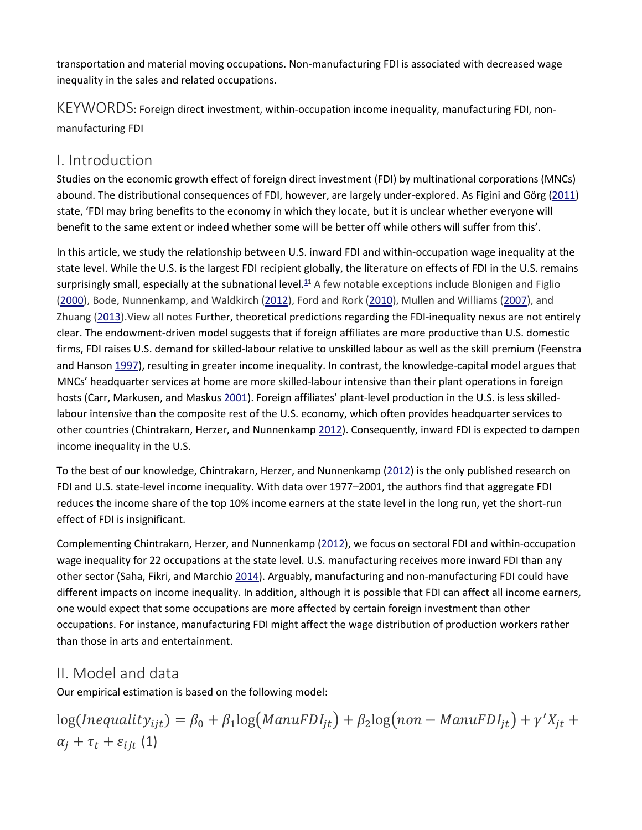transportation and material moving occupations. Non-manufacturing FDI is associated with decreased wage inequality in the sales and related occupations.

KEYWORDS: Foreign direct investment, within-occupation income inequality, manufacturing FDI, nonmanufacturing FDI

## I. Introduction

Studies on the economic growth effect of foreign direct investment (FDI) by multinational corporations (MNCs) abound. The distributional consequences of FDI, however, are largely under-explored. As Figini and Görg ([2011\)](https://0-www-tandfonline-com.libus.csd.mu.edu/doi/full/10.1080/13504851.2018.1494958) state, 'FDI may bring benefits to the economy in which they locate, but it is unclear whether everyone will benefit to the same extent or indeed whether some will be better off while others will suffer from this'.

In this article, we study the relationship between U.S. inward FDI and within-occupation wage inequality at the state level. While the U.S. is the largest FDI recipient globally, the literature on effects of FDI in the U.S. remains surprisingly small, especially at the subnational level. $11$  A few notable exceptions include Blonigen and Figlio [\(2000\)](https://0-www-tandfonline-com.libus.csd.mu.edu/doi/full/10.1080/13504851.2018.1494958), Bode, Nunnenkamp, and Waldkirch [\(2012\)](https://0-www-tandfonline-com.libus.csd.mu.edu/doi/full/10.1080/13504851.2018.1494958), Ford and Rork [\(2010\)](https://0-www-tandfonline-com.libus.csd.mu.edu/doi/full/10.1080/13504851.2018.1494958), Mullen and Williams [\(2007\)](https://0-www-tandfonline-com.libus.csd.mu.edu/doi/full/10.1080/13504851.2018.1494958), and Zhuang [\(2013\)](https://0-www-tandfonline-com.libus.csd.mu.edu/doi/full/10.1080/13504851.2018.1494958).View all notes Further, theoretical predictions regarding the FDI-inequality nexus are not entirely clear. The endowment-driven model suggests that if foreign affiliates are more productive than U.S. domestic firms, FDI raises U.S. demand for skilled-labour relative to unskilled labour as well as the skill premium (Feenstra and Hanson [1997\)](https://0-www-tandfonline-com.libus.csd.mu.edu/doi/full/10.1080/13504851.2018.1494958), resulting in greater income inequality. In contrast, the knowledge-capital model argues that MNCs' headquarter services at home are more skilled-labour intensive than their plant operations in foreign hosts (Carr, Markusen, and Maskus [2001\)](https://0-www-tandfonline-com.libus.csd.mu.edu/doi/full/10.1080/13504851.2018.1494958). Foreign affiliates' plant-level production in the U.S. is less skilledlabour intensive than the composite rest of the U.S. economy, which often provides headquarter services to other countries (Chintrakarn, Herzer, and Nunnenkamp [2012\)](https://0-www-tandfonline-com.libus.csd.mu.edu/doi/full/10.1080/13504851.2018.1494958). Consequently, inward FDI is expected to dampen income inequality in the U.S.

To the best of our knowledge, Chintrakarn, Herzer, and Nunnenkamp [\(2012\)](https://0-www-tandfonline-com.libus.csd.mu.edu/doi/full/10.1080/13504851.2018.1494958) is the only published research on FDI and U.S. state-level income inequality. With data over 1977–2001, the authors find that aggregate FDI reduces the income share of the top 10% income earners at the state level in the long run, yet the short-run effect of FDI is insignificant.

Complementing Chintrakarn, Herzer, and Nunnenkamp [\(2012\)](https://0-www-tandfonline-com.libus.csd.mu.edu/doi/full/10.1080/13504851.2018.1494958), we focus on sectoral FDI and within-occupation wage inequality for 22 occupations at the state level. U.S. manufacturing receives more inward FDI than any other sector (Saha, Fikri, and Marchio [2014\)](https://0-www-tandfonline-com.libus.csd.mu.edu/doi/full/10.1080/13504851.2018.1494958). Arguably, manufacturing and non-manufacturing FDI could have different impacts on income inequality. In addition, although it is possible that FDI can affect all income earners, one would expect that some occupations are more affected by certain foreign investment than other occupations. For instance, manufacturing FDI might affect the wage distribution of production workers rather than those in arts and entertainment.

## II. Model and data

Our empirical estimation is based on the following model:

 $log(Inequality_{ijt}) = \beta_0 + \beta_1 log(ManuFDI_{jt}) + \beta_2 log(non-ManuFDI_{jt}) + \gamma'X_{jt} +$  $\alpha_i + \tau_t + \varepsilon_{i i t}$  (1)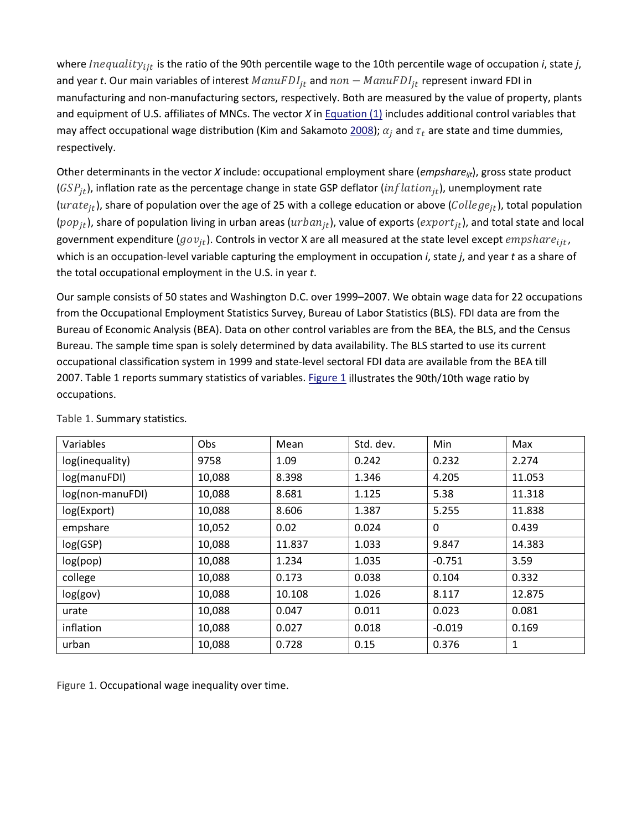where *Inequality<sub>iit</sub>* is the ratio of the 90th percentile wage to the 10th percentile wage of occupation *i*, state *j*, and year *t*. Our main variables of interest  $ManuFDI_{it}$  and  $non-ManuFDI_{it}$  represent inward FDI in manufacturing and non-manufacturing sectors, respectively. Both are measured by the value of property, plants and equipment of U.S. affiliates of MNCs. The vector *X* in [Equation \(1\)](https://0-www-tandfonline-com.libus.csd.mu.edu/doi/full/10.1080/13504851.2018.1494958#M0001) includes additional control variables that may affect occupational wage distribution (Kim and Sakamoto [2008\)](https://0-www-tandfonline-com.libus.csd.mu.edu/doi/full/10.1080/13504851.2018.1494958);  $\alpha_i$  and  $\tau_t$  are state and time dummies, respectively.

Other determinants in the vector *X* include: occupational employment share (*empshareijt*), gross state product ( $GSP_{it}$ ), inflation rate as the percentage change in state GSP deflator (*inflation*<sub>it</sub>), unemployment rate (*urate<sub>it</sub>*), share of population over the age of 25 with a college education or above (*College<sub>it</sub>*), total population  $(pop_{it})$ , share of population living in urban areas ( $urban_{it}$ ), value of exports ( $expr_{it}$ ), and total state and local government expenditure ( $gov_{it}$ ). Controls in vector X are all measured at the state level except  $empshare_{it}$ , which is an occupation-level variable capturing the employment in occupation *i*, state *j*, and year *t* as a share of the total occupational employment in the U.S. in year *t*.

Our sample consists of 50 states and Washington D.C. over 1999–2007. We obtain wage data for 22 occupations from the Occupational Employment Statistics Survey, Bureau of Labor Statistics (BLS). FDI data are from the Bureau of Economic Analysis (BEA). Data on other control variables are from the BEA, the BLS, and the Census Bureau. The sample time span is solely determined by data availability. The BLS started to use its current occupational classification system in 1999 and state-level sectoral FDI data are available from the BEA till 2007. Table 1 reports summary statistics of variables. [Figure 1](https://0-www-tandfonline-com.libus.csd.mu.edu/doi/full/10.1080/13504851.2018.1494958#F0001) illustrates the 90th/10th wage ratio by occupations.

| Variables        | Obs    | Mean   | Std. dev. | Min      | Max    |
|------------------|--------|--------|-----------|----------|--------|
| log(inequality)  | 9758   | 1.09   | 0.242     | 0.232    | 2.274  |
| log(manuFDI)     | 10,088 | 8.398  | 1.346     | 4.205    | 11.053 |
| log(non-manuFDI) | 10,088 | 8.681  | 1.125     | 5.38     | 11.318 |
| log(Export)      | 10,088 | 8.606  | 1.387     | 5.255    | 11.838 |
| empshare         | 10,052 | 0.02   | 0.024     | 0        | 0.439  |
| log(GSP)         | 10,088 | 11.837 | 1.033     | 9.847    | 14.383 |
| log(pop)         | 10,088 | 1.234  | 1.035     | $-0.751$ | 3.59   |
| college          | 10,088 | 0.173  | 0.038     | 0.104    | 0.332  |
| log(gov)         | 10,088 | 10.108 | 1.026     | 8.117    | 12.875 |
| urate            | 10,088 | 0.047  | 0.011     | 0.023    | 0.081  |
| inflation        | 10,088 | 0.027  | 0.018     | $-0.019$ | 0.169  |
| urban            | 10,088 | 0.728  | 0.15      | 0.376    | 1      |

Table 1. Summary statistics.

Figure 1. Occupational wage inequality over time.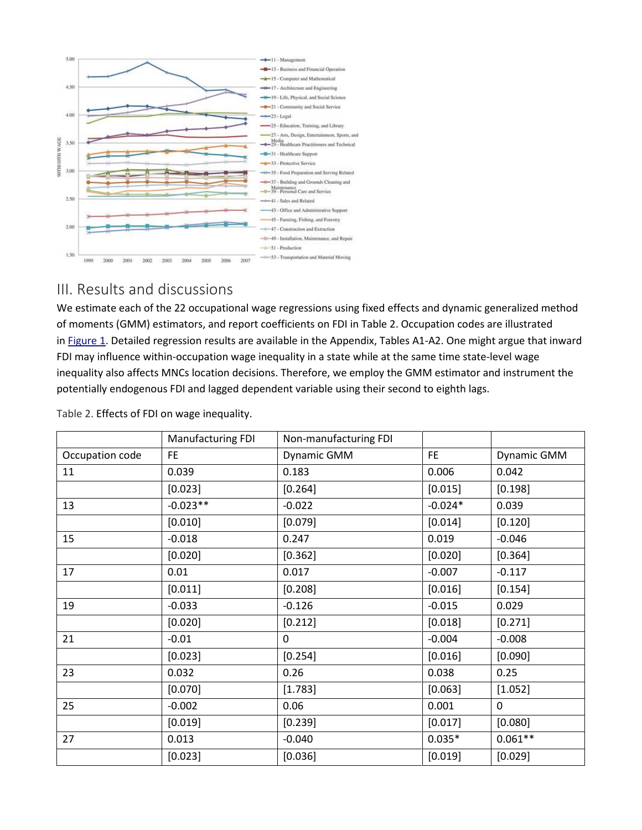

### III. Results and discussions

We estimate each of the 22 occupational wage regressions using fixed effects and dynamic generalized method of moments (GMM) estimators, and report coefficients on FDI in Table 2. Occupation codes are illustrated in [Figure 1.](https://0-www-tandfonline-com.libus.csd.mu.edu/doi/full/10.1080/13504851.2018.1494958#F0001) Detailed regression results are available in the Appendix, Tables A1-A2. One might argue that inward FDI may influence within-occupation wage inequality in a state while at the same time state-level wage inequality also affects MNCs location decisions. Therefore, we employ the GMM estimator and instrument the potentially endogenous FDI and lagged dependent variable using their second to eighth lags.

|                 | Manufacturing FDI | Non-manufacturing FDI |           |             |
|-----------------|-------------------|-----------------------|-----------|-------------|
| Occupation code | FE.               | Dynamic GMM           | <b>FE</b> | Dynamic GMM |
| 11              | 0.039             | 0.183                 | 0.006     | 0.042       |
|                 | [0.023]           | [0.264]               | [0.015]   | [0.198]     |
| 13              | $-0.023**$        | $-0.022$              | $-0.024*$ | 0.039       |
|                 | [0.010]           | [0.079]               | [0.014]   | [0.120]     |
| 15              | $-0.018$          | 0.247                 | 0.019     | $-0.046$    |
|                 | [0.020]           | [0.362]               | [0.020]   | [0.364]     |
| 17              | 0.01              | 0.017                 | $-0.007$  | $-0.117$    |
|                 | [0.011]           | [0.208]               | [0.016]   | [0.154]     |
| 19              | $-0.033$          | $-0.126$              | $-0.015$  | 0.029       |
|                 | [0.020]           | [0.212]               | [0.018]   | [0.271]     |
| 21              | $-0.01$           | $\mathbf{0}$          | $-0.004$  | $-0.008$    |
|                 | [0.023]           | [0.254]               | [0.016]   | [0.090]     |
| 23              | 0.032             | 0.26                  | 0.038     | 0.25        |
|                 | [0.070]           | [1.783]               | [0.063]   | [1.052]     |
| 25              | $-0.002$          | 0.06                  | 0.001     | 0           |
|                 | [0.019]           | [0.239]               | [0.017]   | [0.080]     |
| 27              | 0.013             | $-0.040$              | $0.035*$  | $0.061**$   |
|                 | [0.023]           | [0.036]               | [0.019]   | [0.029]     |

Table 2. Effects of FDI on wage inequality.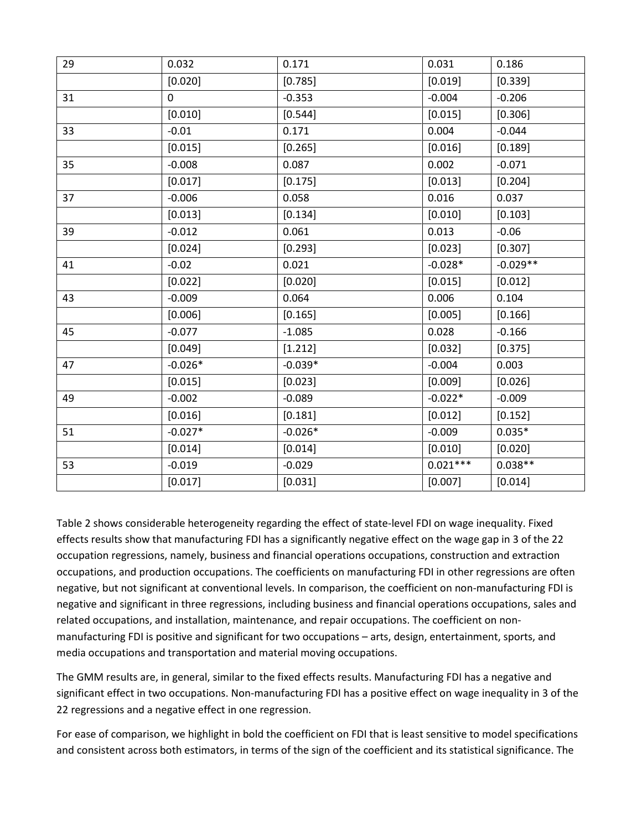| 29 | 0.032     | 0.171     | 0.031      | 0.186      |
|----|-----------|-----------|------------|------------|
|    | [0.020]   | [0.785]   | [0.019]    | [0.339]    |
| 31 | 0         | $-0.353$  | $-0.004$   | $-0.206$   |
|    | [0.010]   | [0.544]   | [0.015]    | [0.306]    |
| 33 | $-0.01$   | 0.171     | 0.004      | $-0.044$   |
|    | [0.015]   | [0.265]   | [0.016]    | [0.189]    |
| 35 | $-0.008$  | 0.087     | 0.002      | $-0.071$   |
|    | [0.017]   | [0.175]   | [0.013]    | [0.204]    |
| 37 | $-0.006$  | 0.058     | 0.016      | 0.037      |
|    | [0.013]   | [0.134]   | [0.010]    | [0.103]    |
| 39 | $-0.012$  | 0.061     | 0.013      | $-0.06$    |
|    | [0.024]   | [0.293]   | [0.023]    | [0.307]    |
| 41 | $-0.02$   | 0.021     | $-0.028*$  | $-0.029**$ |
|    | [0.022]   | [0.020]   | [0.015]    | [0.012]    |
| 43 | $-0.009$  | 0.064     | 0.006      | 0.104      |
|    | [0.006]   | [0.165]   | [0.005]    | [0.166]    |
| 45 | $-0.077$  | $-1.085$  | 0.028      | $-0.166$   |
|    | [0.049]   | [1.212]   | [0.032]    | [0.375]    |
| 47 | $-0.026*$ | $-0.039*$ | $-0.004$   | 0.003      |
|    | [0.015]   | [0.023]   | [0.009]    | [0.026]    |
| 49 | $-0.002$  | $-0.089$  | $-0.022*$  | $-0.009$   |
|    | [0.016]   | [0.181]   | [0.012]    | [0.152]    |
| 51 | $-0.027*$ | $-0.026*$ | $-0.009$   | $0.035*$   |
|    | [0.014]   | [0.014]   | [0.010]    | [0.020]    |
| 53 | $-0.019$  | $-0.029$  | $0.021***$ | $0.038**$  |
|    | [0.017]   | [0.031]   | [0.007]    | [0.014]    |

Table 2 shows considerable heterogeneity regarding the effect of state-level FDI on wage inequality. Fixed effects results show that manufacturing FDI has a significantly negative effect on the wage gap in 3 of the 22 occupation regressions, namely, business and financial operations occupations, construction and extraction occupations, and production occupations. The coefficients on manufacturing FDI in other regressions are often negative, but not significant at conventional levels. In comparison, the coefficient on non-manufacturing FDI is negative and significant in three regressions, including business and financial operations occupations, sales and related occupations, and installation, maintenance, and repair occupations. The coefficient on nonmanufacturing FDI is positive and significant for two occupations – arts, design, entertainment, sports, and media occupations and transportation and material moving occupations.

The GMM results are, in general, similar to the fixed effects results. Manufacturing FDI has a negative and significant effect in two occupations. Non-manufacturing FDI has a positive effect on wage inequality in 3 of the 22 regressions and a negative effect in one regression.

For ease of comparison, we highlight in bold the coefficient on FDI that is least sensitive to model specifications and consistent across both estimators, in terms of the sign of the coefficient and its statistical significance. The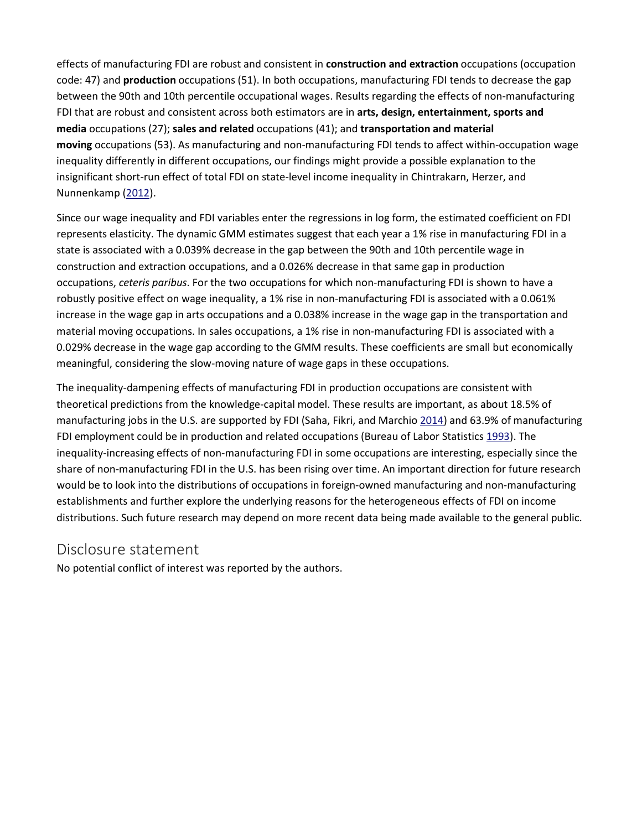effects of manufacturing FDI are robust and consistent in **construction and extraction** occupations (occupation code: 47) and **production** occupations (51). In both occupations, manufacturing FDI tends to decrease the gap between the 90th and 10th percentile occupational wages. Results regarding the effects of non-manufacturing FDI that are robust and consistent across both estimators are in **arts, design, entertainment, sports and media** occupations (27); **sales and related** occupations (41); and **transportation and material moving** occupations (53). As manufacturing and non-manufacturing FDI tends to affect within-occupation wage inequality differently in different occupations, our findings might provide a possible explanation to the insignificant short-run effect of total FDI on state-level income inequality in Chintrakarn, Herzer, and Nunnenkamp [\(2012\)](https://0-www-tandfonline-com.libus.csd.mu.edu/doi/full/10.1080/13504851.2018.1494958).

Since our wage inequality and FDI variables enter the regressions in log form, the estimated coefficient on FDI represents elasticity. The dynamic GMM estimates suggest that each year a 1% rise in manufacturing FDI in a state is associated with a 0.039% decrease in the gap between the 90th and 10th percentile wage in construction and extraction occupations, and a 0.026% decrease in that same gap in production occupations, *ceteris paribus*. For the two occupations for which non-manufacturing FDI is shown to have a robustly positive effect on wage inequality, a 1% rise in non-manufacturing FDI is associated with a 0.061% increase in the wage gap in arts occupations and a 0.038% increase in the wage gap in the transportation and material moving occupations. In sales occupations, a 1% rise in non-manufacturing FDI is associated with a 0.029% decrease in the wage gap according to the GMM results. These coefficients are small but economically meaningful, considering the slow-moving nature of wage gaps in these occupations.

The inequality-dampening effects of manufacturing FDI in production occupations are consistent with theoretical predictions from the knowledge-capital model. These results are important, as about 18.5% of manufacturing jobs in the U.S. are supported by FDI (Saha, Fikri, and Marchio [2014\)](https://0-www-tandfonline-com.libus.csd.mu.edu/doi/full/10.1080/13504851.2018.1494958) and 63.9% of manufacturing FDI employment could be in production and related occupations (Bureau of Labor Statistics [1993\)](https://0-www-tandfonline-com.libus.csd.mu.edu/doi/full/10.1080/13504851.2018.1494958). The inequality-increasing effects of non-manufacturing FDI in some occupations are interesting, especially since the share of non-manufacturing FDI in the U.S. has been rising over time. An important direction for future research would be to look into the distributions of occupations in foreign-owned manufacturing and non-manufacturing establishments and further explore the underlying reasons for the heterogeneous effects of FDI on income distributions. Such future research may depend on more recent data being made available to the general public.

#### Disclosure statement

No potential conflict of interest was reported by the authors.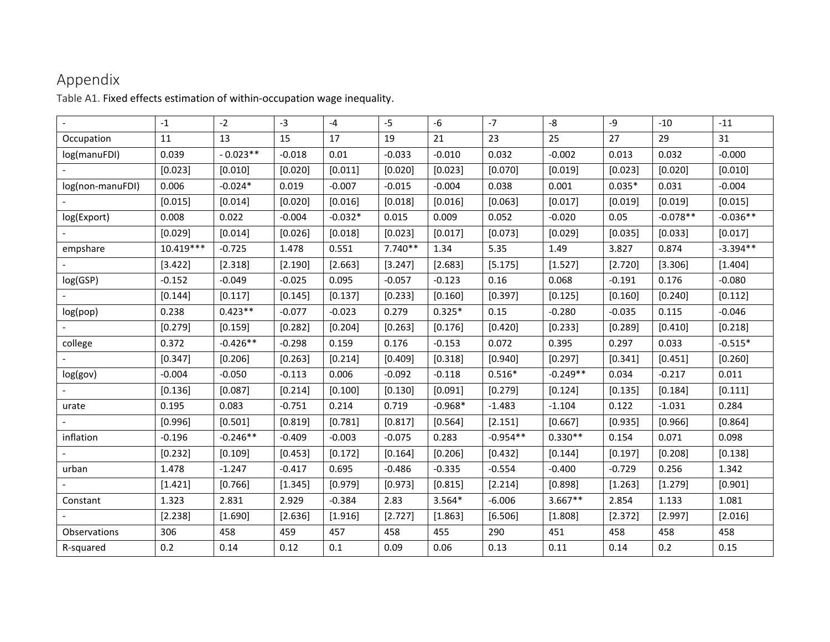## Appendix

Table A1. Fixed effects estimation of within-occupation wage inequality.

|                  | $-1$        | $-2$       | $-3$     | $-4$      | $-5$      | -6        | $-7$       | -8         | -9       | $-10$      | $-11$      |
|------------------|-------------|------------|----------|-----------|-----------|-----------|------------|------------|----------|------------|------------|
| Occupation       | 11          | 13         | 15       | 17        | 19        | 21        | 23         | 25         | 27       | 29         | 31         |
| log(manuFDI)     | 0.039       | $-0.023**$ | $-0.018$ | 0.01      | $-0.033$  | $-0.010$  | 0.032      | $-0.002$   | 0.013    | 0.032      | $-0.000$   |
|                  | [0.023]     | [0.010]    | [0.020]  | [0.011]   | [0.020]   | [0.023]   | [0.070]    | [0.019]    | [0.023]  | [0.020]    | [0.010]    |
| log(non-manuFDI) | 0.006       | $-0.024*$  | 0.019    | $-0.007$  | $-0.015$  | $-0.004$  | 0.038      | 0.001      | $0.035*$ | 0.031      | $-0.004$   |
|                  | [0.015]     | [0.014]    | [0.020]  | [0.016]   | [0.018]   | [0.016]   | [0.063]    | [0.017]    | [0.019]  | [0.019]    | [0.015]    |
| log(Export)      | 0.008       | 0.022      | $-0.004$ | $-0.032*$ | 0.015     | 0.009     | 0.052      | $-0.020$   | 0.05     | $-0.078**$ | $-0.036**$ |
|                  | [0.029]     | [0.014]    | [0.026]  | [0.018]   | [0.023]   | [0.017]   | [0.073]    | [0.029]    | [0.035]  | [0.033]    | [0.017]    |
| empshare         | $10.419***$ | $-0.725$   | 1.478    | 0.551     | $7.740**$ | 1.34      | 5.35       | 1.49       | 3.827    | 0.874      | $-3.394**$ |
|                  | [3.422]     | [2.318]    | [2.190]  | [2.663]   | [3.247]   | [2.683]   | [5.175]    | [1.527]    | [2.720]  | [3.306]    | [1.404]    |
| log(GSP)         | $-0.152$    | $-0.049$   | $-0.025$ | 0.095     | $-0.057$  | $-0.123$  | 0.16       | 0.068      | $-0.191$ | 0.176      | $-0.080$   |
|                  | [0.144]     | [0.117]    | [0.145]  | [0.137]   | [0.233]   | [0.160]   | [0.397]    | [0.125]    | [0.160]  | [0.240]    | [0.112]    |
| log(pop)         | 0.238       | $0.423**$  | $-0.077$ | $-0.023$  | 0.279     | $0.325*$  | 0.15       | $-0.280$   | $-0.035$ | 0.115      | $-0.046$   |
|                  | [0.279]     | [0.159]    | [0.282]  | [0.204]   | [0.263]   | [0.176]   | [0.420]    | [0.233]    | [0.289]  | [0.410]    | [0.218]    |
| college          | 0.372       | $-0.426**$ | $-0.298$ | 0.159     | 0.176     | $-0.153$  | 0.072      | 0.395      | 0.297    | 0.033      | $-0.515*$  |
|                  | [0.347]     | [0.206]    | [0.263]  | [0.214]   | [0.409]   | [0.318]   | [0.940]    | [0.297]    | [0.341]  | [0.451]    | [0.260]    |
| log(gov)         | $-0.004$    | $-0.050$   | $-0.113$ | 0.006     | $-0.092$  | $-0.118$  | $0.516*$   | $-0.249**$ | 0.034    | $-0.217$   | 0.011      |
|                  | [0.136]     | [0.087]    | [0.214]  | [0.100]   | [0.130]   | [0.091]   | [0.279]    | [0.124]    | [0.135]  | [0.184]    | [0.111]    |
| urate            | 0.195       | 0.083      | $-0.751$ | 0.214     | 0.719     | $-0.968*$ | $-1.483$   | $-1.104$   | 0.122    | $-1.031$   | 0.284      |
|                  | [0.996]     | [0.501]    | [0.819]  | [0.781]   | [0.817]   | [0.564]   | [2.151]    | [0.667]    | [0.935]  | [0.966]    | [0.864]    |
| inflation        | $-0.196$    | $-0.246**$ | $-0.409$ | $-0.003$  | $-0.075$  | 0.283     | $-0.954**$ | $0.330**$  | 0.154    | 0.071      | 0.098      |
|                  | [0.232]     | [0.109]    | [0.453]  | [0.172]   | [0.164]   | [0.206]   | [0.432]    | [0.144]    | [0.197]  | [0.208]    | [0.138]    |
| urban            | 1.478       | $-1.247$   | $-0.417$ | 0.695     | $-0.486$  | $-0.335$  | $-0.554$   | $-0.400$   | $-0.729$ | 0.256      | 1.342      |
|                  | [1.421]     | [0.766]    | [1.345]  | [0.979]   | [0.973]   | [0.815]   | [2.214]    | [0.898]    | [1.263]  | [1.279]    | [0.901]    |
| Constant         | 1.323       | 2.831      | 2.929    | $-0.384$  | 2.83      | $3.564*$  | $-6.006$   | $3.667**$  | 2.854    | 1.133      | 1.081      |
|                  | [2.238]     | [1.690]    | [2.636]  | [1.916]   | [2.727]   | [1.863]   | [6.506]    | [1.808]    | [2.372]  | [2.997]    | [2.016]    |
| Observations     | 306         | 458        | 459      | 457       | 458       | 455       | 290        | 451        | 458      | 458        | 458        |
| R-squared        | 0.2         | 0.14       | 0.12     | 0.1       | 0.09      | 0.06      | 0.13       | 0.11       | 0.14     | 0.2        | 0.15       |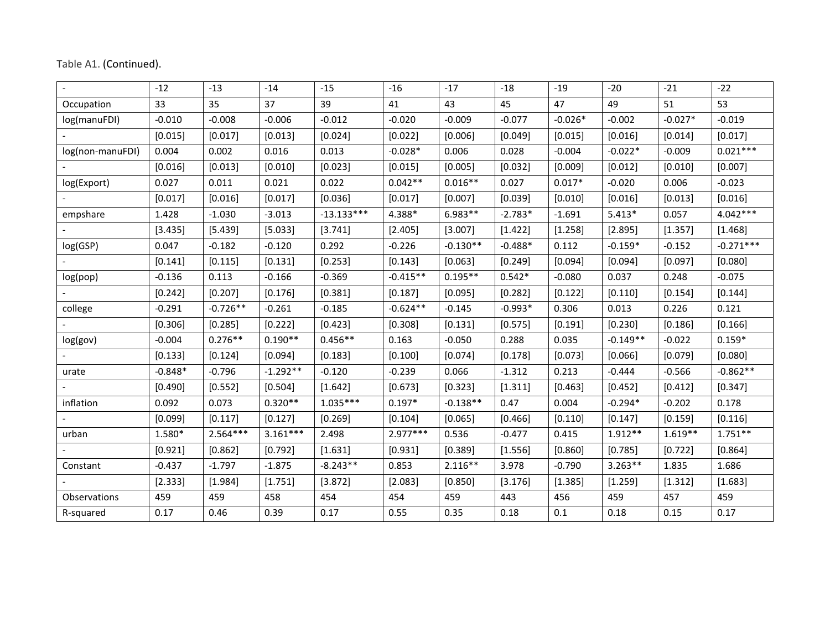|                  | $-12$     | $-13$      | $-14$      | $-15$        | $-16$      | $-17$      | $-18$     | $-19$     | $-20$      | $-21$     | $-22$       |
|------------------|-----------|------------|------------|--------------|------------|------------|-----------|-----------|------------|-----------|-------------|
| Occupation       | 33        | 35         | 37         | 39           | 41         | 43         | 45        | 47        | 49         | 51        | 53          |
| log(manuFDI)     | $-0.010$  | $-0.008$   | $-0.006$   | $-0.012$     | $-0.020$   | $-0.009$   | $-0.077$  | $-0.026*$ | $-0.002$   | $-0.027*$ | $-0.019$    |
|                  | [0.015]   | [0.017]    | [0.013]    | [0.024]      | [0.022]    | [0.006]    | [0.049]   | [0.015]   | [0.016]    | [0.014]   | [0.017]     |
| log(non-manuFDI) | 0.004     | 0.002      | 0.016      | 0.013        | $-0.028*$  | 0.006      | 0.028     | $-0.004$  | $-0.022*$  | $-0.009$  | $0.021***$  |
|                  | [0.016]   | [0.013]    | [0.010]    | [0.023]      | [0.015]    | [0.005]    | [0.032]   | [0.009]   | [0.012]    | [0.010]   | [0.007]     |
| log(Export)      | 0.027     | 0.011      | 0.021      | 0.022        | $0.042**$  | $0.016**$  | 0.027     | $0.017*$  | $-0.020$   | 0.006     | $-0.023$    |
|                  | [0.017]   | [0.016]    | [0.017]    | [0.036]      | [0.017]    | [0.007]    | [0.039]   | [0.010]   | [0.016]    | [0.013]   | [0.016]     |
| empshare         | 1.428     | $-1.030$   | $-3.013$   | $-13.133***$ | 4.388*     | $6.983**$  | $-2.783*$ | $-1.691$  | $5.413*$   | 0.057     | $4.042***$  |
|                  | [3.435]   | [5.439]    | [5.033]    | [3.741]      | [2.405]    | [3.007]    | [1.422]   | [1.258]   | [2.895]    | [1.357]   | [1.468]     |
| log(GSP)         | 0.047     | $-0.182$   | $-0.120$   | 0.292        | $-0.226$   | $-0.130**$ | $-0.488*$ | 0.112     | $-0.159*$  | $-0.152$  | $-0.271***$ |
|                  | [0.141]   | [0.115]    | [0.131]    | [0.253]      | [0.143]    | [0.063]    | [0.249]   | [0.094]   | [0.094]    | [0.097]   | [0.080]     |
| log(pop)         | $-0.136$  | 0.113      | $-0.166$   | $-0.369$     | $-0.415**$ | $0.195**$  | $0.542*$  | $-0.080$  | 0.037      | 0.248     | $-0.075$    |
|                  | [0.242]   | [0.207]    | [0.176]    | [0.381]      | [0.187]    | [0.095]    | [0.282]   | [0.122]   | [0.110]    | [0.154]   | [0.144]     |
| college          | $-0.291$  | $-0.726**$ | $-0.261$   | $-0.185$     | $-0.624**$ | $-0.145$   | $-0.993*$ | 0.306     | 0.013      | 0.226     | 0.121       |
|                  | [0.306]   | [0.285]    | [0.222]    | [0.423]      | [0.308]    | [0.131]    | [0.575]   | [0.191]   | [0.230]    | [0.186]   | [0.166]     |
| log(gov)         | $-0.004$  | $0.276**$  | $0.190**$  | $0.456**$    | 0.163      | $-0.050$   | 0.288     | 0.035     | $-0.149**$ | $-0.022$  | $0.159*$    |
|                  | [0.133]   | [0.124]    | [0.094]    | [0.183]      | [0.100]    | [0.074]    | [0.178]   | [0.073]   | [0.066]    | [0.079]   | [0.080]     |
| urate            | $-0.848*$ | $-0.796$   | $-1.292**$ | $-0.120$     | $-0.239$   | 0.066      | $-1.312$  | 0.213     | $-0.444$   | $-0.566$  | $-0.862**$  |
|                  | [0.490]   | [0.552]    | [0.504]    | [1.642]      | [0.673]    | [0.323]    | [1.311]   | [0.463]   | [0.452]    | [0.412]   | [0.347]     |
| inflation        | 0.092     | 0.073      | $0.320**$  | $1.035***$   | $0.197*$   | $-0.138**$ | 0.47      | 0.004     | $-0.294*$  | $-0.202$  | 0.178       |
|                  | [0.099]   | [0.117]    | [0.127]    | [0.269]      | [0.104]    | [0.065]    | [0.466]   | [0.110]   | [0.147]    | [0.159]   | [0.116]     |
| urban            | 1.580*    | $2.564***$ | $3.161***$ | 2.498        | $2.977***$ | 0.536      | $-0.477$  | 0.415     | $1.912**$  | $1.619**$ | $1.751**$   |
|                  | [0.921]   | [0.862]    | [0.792]    | [1.631]      | [0.931]    | [0.389]    | [1.556]   | [0.860]   | [0.785]    | [0.722]   | [0.864]     |
| Constant         | $-0.437$  | $-1.797$   | $-1.875$   | $-8.243**$   | 0.853      | $2.116**$  | 3.978     | $-0.790$  | $3.263**$  | 1.835     | 1.686       |
|                  | [2.333]   | [1.984]    | [1.751]    | [3.872]      | [2.083]    | [0.850]    | [3.176]   | [1.385]   | [1.259]    | [1.312]   | [1.683]     |
| Observations     | 459       | 459        | 458        | 454          | 454        | 459        | 443       | 456       | 459        | 457       | 459         |
| R-squared        | 0.17      | 0.46       | 0.39       | 0.17         | 0.55       | 0.35       | 0.18      | 0.1       | 0.18       | 0.15      | 0.17        |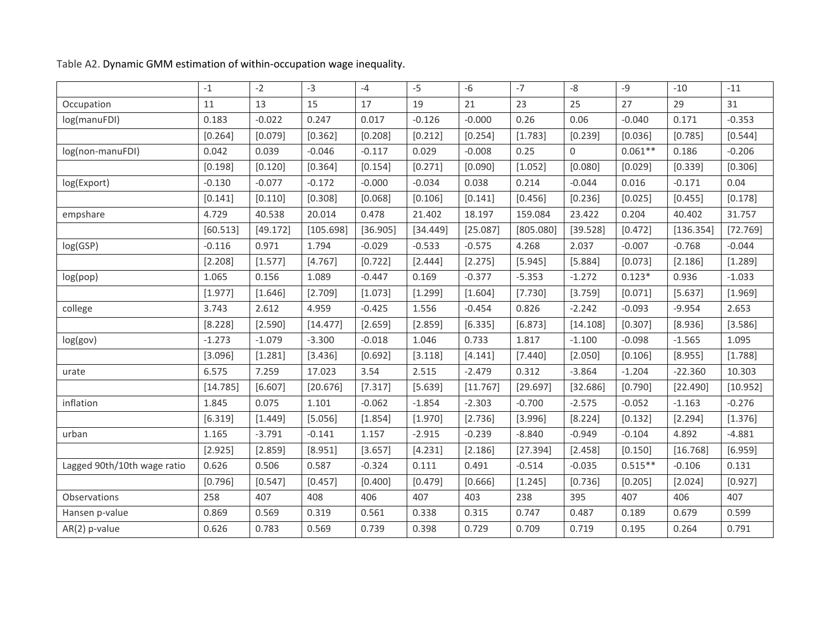|                             | $-1$     | $-2$     | $-3$      | $-4$     | $-5$     | $-6$     | $-7$      | $-8$        | $-9$      | $-10$     | $-11$    |
|-----------------------------|----------|----------|-----------|----------|----------|----------|-----------|-------------|-----------|-----------|----------|
| Occupation                  | 11       | 13       | 15        | 17       | 19       | 21       | 23        | 25          | 27        | 29        | 31       |
| log(manuFDI)                | 0.183    | $-0.022$ | 0.247     | 0.017    | $-0.126$ | $-0.000$ | 0.26      | 0.06        | $-0.040$  | 0.171     | $-0.353$ |
|                             | [0.264]  | [0.079]  | [0.362]   | [0.208]  | [0.212]  | [0.254]  | [1.783]   | [0.239]     | [0.036]   | [0.785]   | [0.544]  |
| log(non-manuFDI)            | 0.042    | 0.039    | $-0.046$  | $-0.117$ | 0.029    | $-0.008$ | 0.25      | $\mathbf 0$ | $0.061**$ | 0.186     | $-0.206$ |
|                             | [0.198]  | [0.120]  | [0.364]   | [0.154]  | [0.271]  | [0.090]  | [1.052]   | [0.080]     | [0.029]   | [0.339]   | [0.306]  |
| log(Export)                 | $-0.130$ | $-0.077$ | $-0.172$  | $-0.000$ | $-0.034$ | 0.038    | 0.214     | $-0.044$    | 0.016     | $-0.171$  | 0.04     |
|                             | [0.141]  | [0.110]  | [0.308]   | [0.068]  | [0.106]  | [0.141]  | [0.456]   | [0.236]     | [0.025]   | [0.455]   | [0.178]  |
| empshare                    | 4.729    | 40.538   | 20.014    | 0.478    | 21.402   | 18.197   | 159.084   | 23.422      | 0.204     | 40.402    | 31.757   |
|                             | [60.513] | [49.172] | [105.698] | [36.905] | [34.449] | [25.087] | [805.080] | [39.528]    | [0.472]   | [136.354] | [72.769] |
| log(GSP)                    | $-0.116$ | 0.971    | 1.794     | $-0.029$ | $-0.533$ | $-0.575$ | 4.268     | 2.037       | $-0.007$  | $-0.768$  | $-0.044$ |
|                             | [2.208]  | [1.577]  | [4.767]   | [0.722]  | [2.444]  | [2.275]  | [5.945]   | [5.884]     | [0.073]   | [2.186]   | [1.289]  |
| log(pop)                    | 1.065    | 0.156    | 1.089     | $-0.447$ | 0.169    | $-0.377$ | $-5.353$  | $-1.272$    | $0.123*$  | 0.936     | $-1.033$ |
|                             | [1.977]  | [1.646]  | [2.709]   | [1.073]  | [1.299]  | [1.604]  | [7.730]   | [3.759]     | [0.071]   | [5.637]   | [1.969]  |
| college                     | 3.743    | 2.612    | 4.959     | $-0.425$ | 1.556    | $-0.454$ | 0.826     | $-2.242$    | $-0.093$  | $-9.954$  | 2.653    |
|                             | [8.228]  | [2.590]  | [14.477]  | [2.659]  | [2.859]  | [6.335]  | [6.873]   | [14.108]    | [0.307]   | [8.936]   | [3.586]  |
| log(gov)                    | $-1.273$ | $-1.079$ | $-3.300$  | $-0.018$ | 1.046    | 0.733    | 1.817     | $-1.100$    | $-0.098$  | $-1.565$  | 1.095    |
|                             | [3.096]  | [1.281]  | [3.436]   | [0.692]  | [3.118]  | [4.141]  | [7.440]   | [2.050]     | [0.106]   | [8.955]   | [1.788]  |
| urate                       | 6.575    | 7.259    | 17.023    | 3.54     | 2.515    | $-2.479$ | 0.312     | $-3.864$    | $-1.204$  | $-22.360$ | 10.303   |
|                             | [14.785] | [6.607]  | [20.676]  | [7.317]  | [5.639]  | [11.767] | [29.697]  | [32.686]    | [0.790]   | [22.490]  | [10.952] |
| inflation                   | 1.845    | 0.075    | 1.101     | $-0.062$ | $-1.854$ | $-2.303$ | $-0.700$  | $-2.575$    | $-0.052$  | $-1.163$  | $-0.276$ |
|                             | [6.319]  | [1.449]  | [5.056]   | [1.854]  | [1.970]  | [2.736]  | [3.996]   | [8.224]     | [0.132]   | [2.294]   | [1.376]  |
| urban                       | 1.165    | $-3.791$ | $-0.141$  | 1.157    | $-2.915$ | $-0.239$ | $-8.840$  | $-0.949$    | $-0.104$  | 4.892     | $-4.881$ |
|                             | [2.925]  | [2.859]  | [8.951]   | [3.657]  | [4.231]  | [2.186]  | [27.394]  | [2.458]     | [0.150]   | [16.768]  | [6.959]  |
| Lagged 90th/10th wage ratio | 0.626    | 0.506    | 0.587     | $-0.324$ | 0.111    | 0.491    | $-0.514$  | $-0.035$    | $0.515**$ | $-0.106$  | 0.131    |
|                             | [0.796]  | [0.547]  | [0.457]   | [0.400]  | [0.479]  | [0.666]  | [1.245]   | [0.736]     | [0.205]   | [2.024]   | [0.927]  |
| Observations                | 258      | 407      | 408       | 406      | 407      | 403      | 238       | 395         | 407       | 406       | 407      |
| Hansen p-value              | 0.869    | 0.569    | 0.319     | 0.561    | 0.338    | 0.315    | 0.747     | 0.487       | 0.189     | 0.679     | 0.599    |
| AR(2) p-value               | 0.626    | 0.783    | 0.569     | 0.739    | 0.398    | 0.729    | 0.709     | 0.719       | 0.195     | 0.264     | 0.791    |

Table A2. Dynamic GMM estimation of within-occupation wage inequality.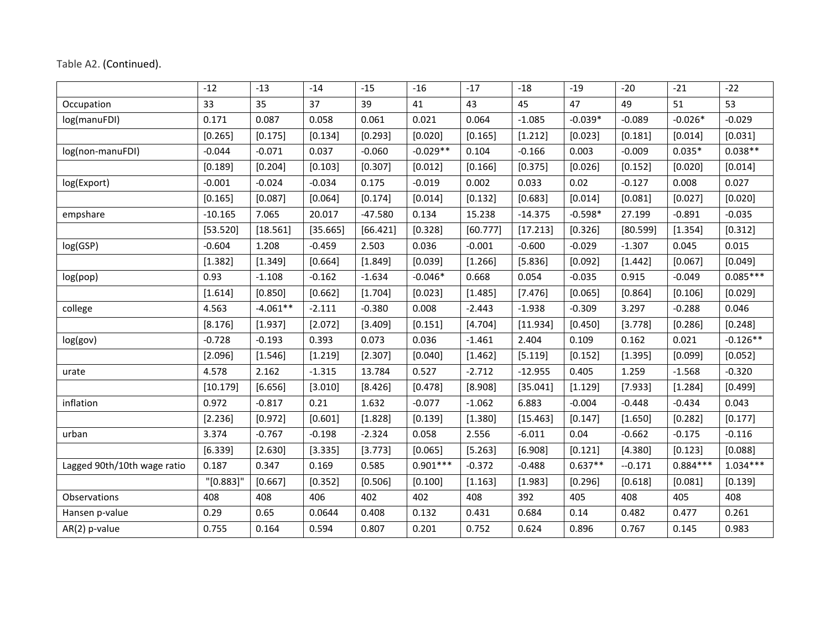|                             | $-12$     | $-13$      | $-14$    | $-15$     | $-16$      | $-17$    | $-18$     | $-19$     | $-20$    | $-21$      | $-22$      |
|-----------------------------|-----------|------------|----------|-----------|------------|----------|-----------|-----------|----------|------------|------------|
| Occupation                  | 33        | 35         | 37       | 39        | 41         | 43       | 45        | 47        | 49       | 51         | 53         |
| log(manuFDI)                | 0.171     | 0.087      | 0.058    | 0.061     | 0.021      | 0.064    | $-1.085$  | $-0.039*$ | $-0.089$ | $-0.026*$  | $-0.029$   |
|                             | [0.265]   | [0.175]    | [0.134]  | [0.293]   | [0.020]    | [0.165]  | [1.212]   | [0.023]   | [0.181]  | [0.014]    | [0.031]    |
| log(non-manuFDI)            | $-0.044$  | $-0.071$   | 0.037    | $-0.060$  | $-0.029**$ | 0.104    | $-0.166$  | 0.003     | $-0.009$ | $0.035*$   | $0.038**$  |
|                             | [0.189]   | [0.204]    | [0.103]  | [0.307]   | [0.012]    | [0.166]  | [0.375]   | [0.026]   | [0.152]  | [0.020]    | [0.014]    |
| log(Export)                 | $-0.001$  | $-0.024$   | $-0.034$ | 0.175     | $-0.019$   | 0.002    | 0.033     | 0.02      | $-0.127$ | 0.008      | 0.027      |
|                             | [0.165]   | [0.087]    | [0.064]  | [0.174]   | [0.014]    | [0.132]  | [0.683]   | [0.014]   | [0.081]  | [0.027]    | [0.020]    |
| empshare                    | $-10.165$ | 7.065      | 20.017   | $-47.580$ | 0.134      | 15.238   | $-14.375$ | $-0.598*$ | 27.199   | $-0.891$   | $-0.035$   |
|                             | [53.520]  | [18.561]   | [35.665] | [66.421]  | [0.328]    | [60.777] | [17.213]  | [0.326]   | [80.599] | [1.354]    | [0.312]    |
| log(GSP)                    | $-0.604$  | 1.208      | $-0.459$ | 2.503     | 0.036      | $-0.001$ | $-0.600$  | $-0.029$  | $-1.307$ | 0.045      | 0.015      |
|                             | [1.382]   | [1.349]    | [0.664]  | [1.849]   | [0.039]    | [1.266]  | [5.836]   | [0.092]   | [1.442]  | [0.067]    | [0.049]    |
| log(pop)                    | 0.93      | $-1.108$   | $-0.162$ | $-1.634$  | $-0.046*$  | 0.668    | 0.054     | $-0.035$  | 0.915    | $-0.049$   | $0.085***$ |
|                             | [1.614]   | [0.850]    | [0.662]  | [1.704]   | [0.023]    | [1.485]  | [7.476]   | [0.065]   | [0.864]  | [0.106]    | [0.029]    |
| college                     | 4.563     | $-4.061**$ | $-2.111$ | $-0.380$  | 0.008      | $-2.443$ | $-1.938$  | $-0.309$  | 3.297    | $-0.288$   | 0.046      |
|                             | [8.176]   | [1.937]    | [2.072]  | [3.409]   | [0.151]    | [4.704]  | [11.934]  | [0.450]   | [3.778]  | [0.286]    | [0.248]    |
| log(gov)                    | $-0.728$  | $-0.193$   | 0.393    | 0.073     | 0.036      | $-1.461$ | 2.404     | 0.109     | 0.162    | 0.021      | $-0.126**$ |
|                             | [2.096]   | [1.546]    | [1.219]  | [2.307]   | [0.040]    | [1.462]  | [5.119]   | [0.152]   | [1.395]  | [0.099]    | [0.052]    |
| urate                       | 4.578     | 2.162      | $-1.315$ | 13.784    | 0.527      | $-2.712$ | $-12.955$ | 0.405     | 1.259    | $-1.568$   | $-0.320$   |
|                             | [10.179]  | [6.656]    | [3.010]  | [8.426]   | [0.478]    | [8.908]  | [35.041]  | [1.129]   | [7.933]  | [1.284]    | [0.499]    |
| inflation                   | 0.972     | $-0.817$   | 0.21     | 1.632     | $-0.077$   | $-1.062$ | 6.883     | $-0.004$  | $-0.448$ | $-0.434$   | 0.043      |
|                             | [2.236]   | [0.972]    | [0.601]  | [1.828]   | [0.139]    | [1.380]  | [15.463]  | [0.147]   | [1.650]  | [0.282]    | [0.177]    |
| urban                       | 3.374     | $-0.767$   | $-0.198$ | $-2.324$  | 0.058      | 2.556    | $-6.011$  | 0.04      | $-0.662$ | $-0.175$   | $-0.116$   |
|                             | [6.339]   | [2.630]    | [3.335]  | [3.773]   | [0.065]    | [5.263]  | [6.908]   | [0.121]   | [4.380]  | [0.123]    | [0.088]    |
| Lagged 90th/10th wage ratio | 0.187     | 0.347      | 0.169    | 0.585     | $0.901***$ | $-0.372$ | $-0.488$  | $0.637**$ | $-0.171$ | $0.884***$ | $1.034***$ |
|                             | "[0.883]" | [0.667]    | [0.352]  | [0.506]   | [0.100]    | [1.163]  | [1.983]   | [0.296]   | [0.618]  | [0.081]    | [0.139]    |
| Observations                | 408       | 408        | 406      | 402       | 402        | 408      | 392       | 405       | 408      | 405        | 408        |
| Hansen p-value              | 0.29      | 0.65       | 0.0644   | 0.408     | 0.132      | 0.431    | 0.684     | 0.14      | 0.482    | 0.477      | 0.261      |
| AR(2) p-value               | 0.755     | 0.164      | 0.594    | 0.807     | 0.201      | 0.752    | 0.624     | 0.896     | 0.767    | 0.145      | 0.983      |